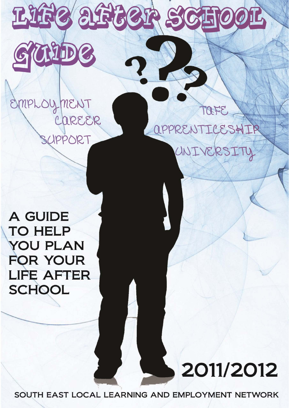

# MPLOYMENT CAREER SCIPPORT

OFE aPPRENTICESHIP UNIVERSITY

**A GUIDE TO HELP YOU PLAN FOR YOUR LIFE AFTER SCHOOL** 

2011/2012

SOUTH EAST LOCAL LEARNING AND EMPLOYMENT NETWORK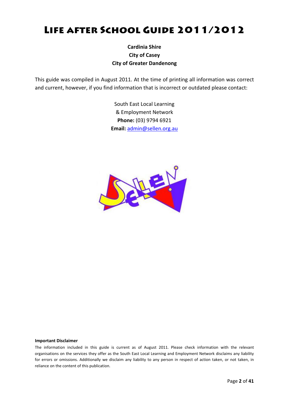# Life after School Guide 2011/2012

### **Cardinia Shire City of Casey City of Greater Dandenong**

This guide was compiled in August 2011. At the time of printing all information was correct and current, however, if you find information that is incorrect or outdated please contact:

> South East Local Learning & Employment Network **Phone:** (03) 9794 6921 **Email:** [admin@sellen.org.au](mailto:admin@sellen.org.au)



#### **Important Disclaimer**

The information included in this guide is current as of August 2011. Please check information with the relevant organisations on the services they offer as the South East Local Learning and Employment Network disclaims any liability for errors or omissions. Additionally we disclaim any liability to any person in respect of action taken, or not taken, in reliance on the content of this publication.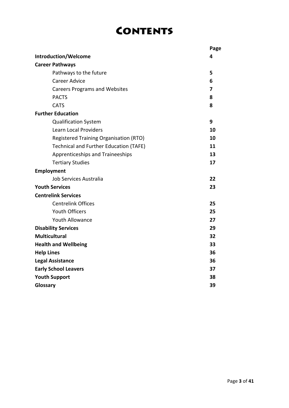# **CONTENTS**

|                                               | Page |  |
|-----------------------------------------------|------|--|
| Introduction/Welcome                          | 4    |  |
| <b>Career Pathways</b>                        |      |  |
| Pathways to the future                        | 5    |  |
| <b>Career Advice</b>                          | 6    |  |
| <b>Careers Programs and Websites</b>          | 7    |  |
| <b>PACTS</b>                                  | 8    |  |
| <b>CATS</b>                                   | 8    |  |
| <b>Further Education</b>                      |      |  |
| <b>Qualification System</b>                   | 9    |  |
| <b>Learn Local Providers</b>                  | 10   |  |
| Registered Training Organisation (RTO)        | 10   |  |
| <b>Technical and Further Education (TAFE)</b> | 11   |  |
| Apprenticeships and Traineeships              | 13   |  |
| <b>Tertiary Studies</b>                       | 17   |  |
| Employment                                    |      |  |
| Job Services Australia                        | 22   |  |
| <b>Youth Services</b>                         | 23   |  |
| <b>Centrelink Services</b>                    |      |  |
| <b>Centrelink Offices</b>                     | 25   |  |
| <b>Youth Officers</b>                         | 25   |  |
| <b>Youth Allowance</b>                        | 27   |  |
| <b>Disability Services</b>                    | 29   |  |
| <b>Multicultural</b>                          | 32   |  |
| <b>Health and Wellbeing</b>                   | 33   |  |
| <b>Help Lines</b>                             | 36   |  |
| <b>Legal Assistance</b>                       | 36   |  |
| <b>Early School Leavers</b>                   | 37   |  |
| <b>Youth Support</b>                          | 38   |  |
| Glossary                                      | 39   |  |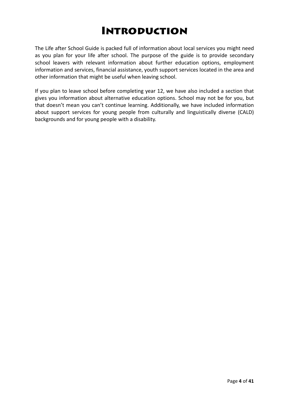# Introduction

The Life after School Guide is packed full of information about local services you might need as you plan for your life after school. The purpose of the guide is to provide secondary school leavers with relevant information about further education options, employment information and services, financial assistance, youth support services located in the area and other information that might be useful when leaving school.

If you plan to leave school before completing year 12, we have also included a section that gives you information about alternative education options. School may not be for you, but that doesn't mean you can't continue learning. Additionally, we have included information about support services for young people from culturally and linguistically diverse (CALD) backgrounds and for young people with a disability.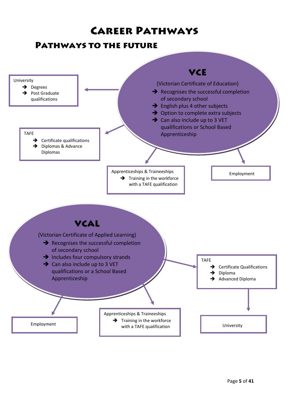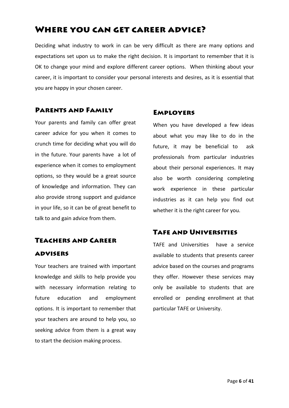## Where you can get career advice?

Deciding what industry to work in can be very difficult as there are many options and expectations set upon us to make the right decision. It is important to remember that it is OK to change your mind and explore different career options. When thinking about your career, it is important to consider your personal interests and desires, as it is essential that you are happy in your chosen career.

### Parents and Family

Your parents and family can offer great career advice for you when it comes to crunch time for deciding what you will do in the future. Your parents have a lot of experience when it comes to employment options, so they would be a great source of knowledge and information. They can also provide strong support and guidance in your life, so it can be of great benefit to talk to and gain advice from them.

## Teachers and Career advisers

Your teachers are trained with important knowledge and skills to help provide you with necessary information relating to future education and employment options. It is important to remember that your teachers are around to help you, so seeking advice from them is a great way to start the decision making process.

### Employers

When you have developed a few ideas about what you may like to do in the future, it may be beneficial to ask professionals from particular industries about their personal experiences. It may also be worth considering completing work experience in these particular industries as it can help you find out whether it is the right career for you.

## Tafe and Universities

TAFE and Universities have a service available to students that presents career advice based on the courses and programs they offer. However these services may only be available to students that are enrolled or pending enrollment at that particular TAFE or University.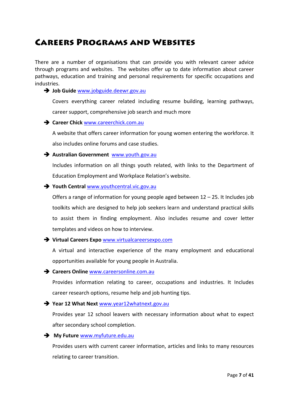## Careers Programs and Websites

There are a number of organisations that can provide you with relevant career advice through programs and websites. The websites offer up to date information about career pathways, education and training and personal requirements for specific occupations and industries.

#### $\rightarrow$  **Job Guide** [www.jobguide.deewr.gov.au](http://www.jobguide.deewr.gov.au/)

Covers everything career related including resume building, learning pathways, career support, comprehensive job search and much more

#### Î **Career Chick** [www.careerchick.com.au](http://www.careerchick.com.au/)

A website that offers career information for young women entering the workforce. It also includes online forums and case studies.

#### Î **Australian Government** [www.youth.gov.au](http://www.youth.gov.au/)

Includes information on all things youth related, with links to the Department of Education Employment and Workplace Relation's website.

#### Î **Youth Central** [www.youthcentral.vic.gov.au](http://www.youthcentral.vic.gov.au/)

Offers a range of information for young people aged between 12 – 25. It Includes job toolkits which are designed to help job seekers learn and understand practical skills to assist them in finding employment. Also includes resume and cover letter templates and videos on how to interview.

#### Î **Virtual Careers Expo** [www.virtualcareersexpo.com](http://www.virtualcareersexpo.com/)

A virtual and interactive experience of the many employment and educational opportunities available for young people in Australia.

#### Î **Careers Online** [www.careersonline.com.au](http://www.careersonline.com.au/)

Provides information relating to career, occupations and industries. It Includes career research options, resume help and job hunting tips.

#### Î **Year 12 What Next** [www.year12whatnext.gov.au](http://www.year12whatnext.gov.au/)

Provides year 12 school leavers with necessary information about what to expect after secondary school completion.

#### Î **My Future** [www.myfuture.edu.au](http://www.myfuture.edu.au/)

Provides users with current career information, articles and links to many resources relating to career transition.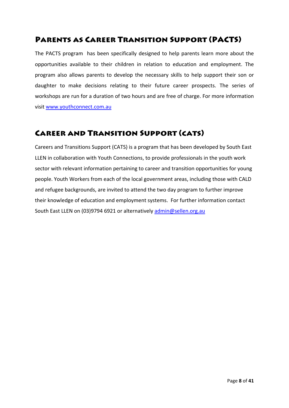## Parents as Career Transition Support (PACTS)

The PACTS program has been specifically designed to help parents learn more about the opportunities available to their children in relation to education and employment. The program also allows parents to develop the necessary skills to help support their son or daughter to make decisions relating to their future career prospects. The series of workshops are run for a duration of two hours and are free of charge. For more information visit [www.youthconnect.com.au](http://www.youthconnect.com.au/)

## Career and Transition Support (cats)

Careers and Transitions Support (CATS) is a program that has been developed by South East LLEN in collaboration with Youth Connections, to provide professionals in the youth work sector with relevant information pertaining to career and transition opportunities for young people. Youth Workers from each of the local government areas, including those with CALD and refugee backgrounds, are invited to attend the two day program to further improve their knowledge of education and employment systems. For further information contact South East LLEN on (03)9794 6921 or alternatively [admin@sellen.org.au](mailto:admin@sellen.org.au)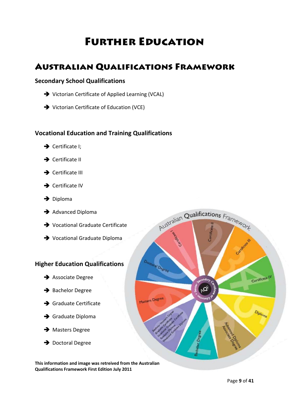# Further Education

## Australian Qualifications Framework

### **Secondary School Qualifications**

- $\rightarrow$  Victorian Certificate of Applied Learning (VCAL)
- $\rightarrow$  Victorian Certificate of Education (VCE)

### **Vocational Education and Training Qualifications**

 $\rightarrow$  Certificate I:



- $\rightarrow$  Certificate III
- $\rightarrow$  Certificate IV
- $\rightarrow$  Diploma
- $\rightarrow$  Advanced Diploma
- → Vocational Graduate Certificate
- → Vocational Graduate Diploma

### **Higher Education Qualifications**

- $\rightarrow$  Associate Degree
- $\rightarrow$  Bachelor Degree
- $\rightarrow$  Graduate Certificate
- $\rightarrow$  Graduate Diploma
- $\rightarrow$  Masters Degree
- $\rightarrow$  Doctoral Degree

**This information and image was retreived from the Australian Qualifications Framework First Edition July 2011**

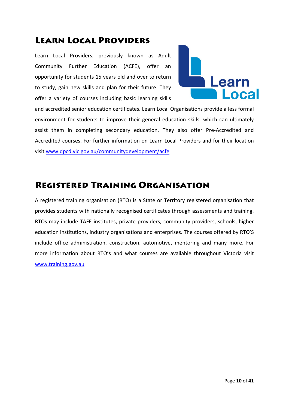## Learn Local Providers

Learn Local Providers, previously known as Adult Community Further Education (ACFE), offer an opportunity for students 15 years old and over to return to study, gain new skills and plan for their future. They offer a variety of courses including basic learning skills



and accredited senior education certificates. Learn Local Organisations provide a less formal environment for students to improve their general education skills, which can ultimately assist them in completing secondary education. They also offer Pre‐Accredited and Accredited courses. For further information on Learn Local Providers and for their location visit [www.dpcd.vic.gov.au/communitydevelopment/acfe](http://www.dpcd.vic.gov.au/communitydevelopment/acfe)

# Registered Training Organisation

A registered training organisation (RTO) is a State or Territory registered organisation that provides students with nationally recognised certificates through assessments and training. RTOs may include TAFE institutes, private providers, community providers, schools, higher education institutions, industry organisations and enterprises. The courses offered by RTO'S include office administration, construction, automotive, mentoring and many more. For more information about RTO's and what courses are available throughout Victoria visit [www.training.gov.au](http://www.training.gov.au/)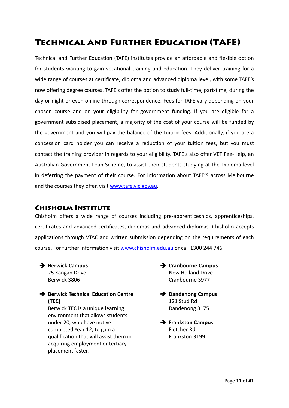# Technical and Further Education (TAFE)

Technical and Further Education (TAFE) institutes provide an affordable and flexible option for students wanting to gain vocational training and education. They deliver training for a wide range of courses at certificate, diploma and advanced diploma level, with some TAFE's now offering degree courses. TAFE's offer the option to study full‐time, part‐time, during the day or night or even online through correspondence. Fees for TAFE vary depending on your chosen course and on your eligibility for government funding. If you are eligible for a government subsidised placement, a majority of the cost of your course will be funded by the government and you will pay the balance of the tuition fees. Additionally, if you are a concession card holder you can receive a reduction of your tuition fees, but you must contact the training provider in regards to your eligibility. TAFE's also offer VET Fee‐Help, an Australian Government Loan Scheme, to assist their students studying at the Diploma level in deferring the payment of their course. For information about TAFE'S across Melbourne and the courses they offer, visit [www.tafe.vic.gov.au](http://www.tafe.vic.gov.au/)*.*

## Chisholm Institute

Chisholm offers a wide range of courses including pre‐apprenticeships, apprenticeships, certificates and advanced certificates, diplomas and advanced diplomas. Chisholm accepts applications through VTAC and written submission depending on the requirements of each course. For further information visit [www.chisholm.edu.au](http://www.chisholm.edu.au/) or call 1300 244 746

#### $→$  **Berwick Campus** 25 Kangan Drive Berwick 3806

Î **Berwick Technical Education Centre (TEC)**

Berwick TEC is a unique learning environment that allows students under 20, who have not yet completed Year 12, to gain a qualification that will assist them in acquiring employment or tertiary placement faster.

- $→$  **Cranbourne Campus** New Holland Drive Cranbourne 3977
- $→$  Dandenong Campus 121 Stud Rd Dandenong 3175
- Î **Frankston Campus** Fletcher Rd Frankston 3199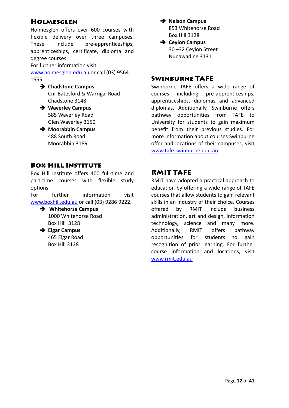## Holmesglen

Holmesglen offers over 600 courses with flexible delivery over three campuses. These include pre-apprenticeships, apprenticeships, certificate, diploma and degree courses.

For further information visit

[www.holmesglen.edu.au](http://www.holmesglen.edu.au/) or call (03) 9564 1555

- Î **Chadstone Campus** Cnr Batesford & Warrigal Road Chadstone 3148
- Î **Waverley Campus** 585 Waverley Road Glen Waverley 3150
- $→$  **Moorabbin Campus** 488 South Road Moorabbin 3189

## Box Hill Institute

Box Hill Institute offers 400 full‐time and part‐time courses with flexible study options.

For further information visit www.boxhill.edu.au or call (03) 9286 9222.





## Î **Nelson Campus**

853 Whitehorse Road Box Hill 3128

 $→$  **Ceylon Campus** 30 –32 Ceylon Street Nunawading 3131

## Swinburne TAFE

Swinburne TAFE offers a wide range of courses including pre‐apprenticeships, apprenticeships, diplomas and advanced diplomas. Additionally, Swinburne offers pathway opportunities from TAFE to University for students to gain maximum benefit from their previous studies. For more information about courses Swinburne offer and locations of their campuses, visit [www.tafe.swinburne.edu.au](http://www.tafe.swinburne.edu.au/)

## RMIT TAFE

RMIT have adopted a practical approach to education by offering a wide range of TAFE courses that allow students to gain relevant skills in an industry of their choice. Courses offered by RMIT include business administration, art and design, information technology, science and many more. Additionally, RMIT offers pathway opportunities for students to gain recognition of prior learning. For further course information and locations, visit [www.rmit.edu.au](http://www.rmit.edu.au/)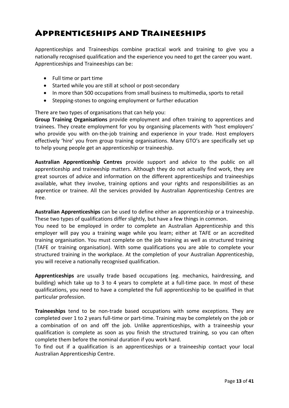# Apprenticeships and Traineeships

Apprenticeships and Traineeships combine practical work and training to give you a nationally recognised qualification and the experience you need to get the career you want. Apprenticeships and Traineeships can be:

- Full time or part time
- Started while you are still at school or post‐secondary
- In more than 500 occupations from small business to multimedia, sports to retail
- Stepping‐stones to ongoing employment or further education

There are two types of organisations that can help you:

**Group Training Organisations** provide employment and often training to apprentices and trainees. They create employment for you by organising placements with 'host employers' who provide you with on-the-job training and experience in your trade. Host employers effectively 'hire' you from group training organisations. Many GTO's are specifically set up to help young people get an apprenticeship or traineeship.

**Australian Apprenticeship Centres** provide support and advice to the public on all apprenticeship and traineeship matters. Although they do not actually find work, they are great sources of advice and information on the different apprenticeships and traineeships available, what they involve, training options and your rights and responsibilities as an apprentice or trainee. All the services provided by Australian Apprenticeship Centres are free.

**Australian Apprenticeships** can be used to define either an apprenticeship or a traineeship. These two types of qualifications differ slightly, but have a few things in common.

You need to be employed in order to complete an Australian Apprenticeship and this employer will pay you a training wage while you learn; either at TAFE or an accredited training organisation. You must complete on the job training as well as structured training (TAFE or training organisation). With some qualifications you are able to complete your structured training in the workplace. At the completion of your Australian Apprenticeship, you will receive a nationally recognised qualification.

**Apprenticeships** are usually trade based occupations (eg. mechanics, hairdressing, and building) which take up to 3 to 4 years to complete at a full-time pace. In most of these qualifications, you need to have a completed the full apprenticeship to be qualified in that particular profession.

**Traineeships** tend to be non-trade based occupations with some exceptions. They are completed over 1 to 2 years full-time or part-time. Training may be completely on the job or a combination of on and off the job. Unlike apprenticeships, with a traineeship your qualification is complete as soon as you finish the structured training, so you can often complete them before the nominal duration if you work hard.

To find out if a qualification is an apprenticeships or a traineeship contact your local Australian Apprenticeship Centre.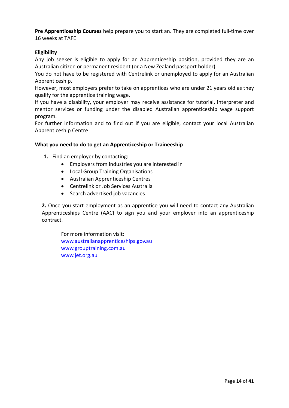**Pre Apprenticeship Courses** help prepare you to start an. They are completed full‐time over 16 weeks at TAFE

#### **Eligibility**

Any job seeker is eligible to apply for an Apprenticeship position, provided they are an Australian citizen or permanent resident (or a New Zealand passport holder)

You do not have to be registered with Centrelink or unemployed to apply for an Australian Apprenticeship.

However, most employers prefer to take on apprentices who are under 21 years old as they qualify for the apprentice training wage.

If you have a disability, your employer may receive assistance for tutorial, interpreter and mentor services or funding under the disabled Australian apprenticeship wage support program.

For further information and to find out if you are eligible, contact your local Australian Apprenticeship Centre

#### **What you need to do to get an Apprenticeship or Traineeship**

- **1.** Find an employer by contacting:
	- Employers from industries you are interested in
	- Local Group Training Organisations
	- Australian Apprenticeship Centres
	- Centrelink or Job Services Australia
	- Search advertised job vacancies

**2.** Once you start employment as an apprentice you will need to contact any Australian Apprenticeships Centre (AAC) to sign you and your employer into an apprenticeship contract.

For more information visit: [www.australianapprenticeships.gov.au](http://www.australianapprenticeships.gov.au/) [www.grouptraining.com.au](http://www.grouptraining.com.au/) [www.jet.org.au](http://www.jet.org.au/)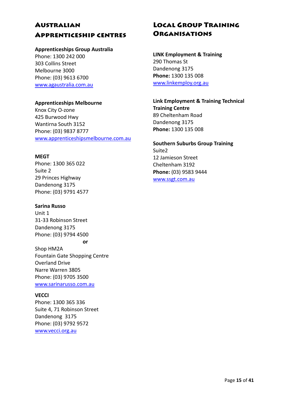## Australian Apprenticeship centres

#### **Apprenticeships Group Australia**

Phone: 1300 242 000 303 Collins Street Melbourne 3000 Phone: (03) 9613 6700 [www.agaustralia.com.au](http://www.agaustralia.com.au/)

#### **Apprenticeships Melbourne**

Knox City O‐zone 425 Burwood Hwy Wantirna South 3152 Phone: (03) 9837 8777 [www.apprenticeshipsmelbourne.com.au](http://www.apprenticeshipsmelbourne.com.au/)

### **MEGT**

Phone: 1300 365 022 Suite 2 29 Princes Highway Dandenong 3175 Phone: (03) 9791 4577

#### **Sarina Russo**

Unit 1 31‐33 Robinson Street Dandenong 3175 Phone: (03) 9794 4500 **or**

Shop HM2A Fountain Gate Shopping Centre Overland Drive Narre Warren 3805 Phone: (03) 9705 3500 [www.sarinarusso.com.au](http://www.sarinarusso.com.au/)

### **VECCI**

Phone: 1300 365 336 Suite 4, 71 Robinson Street Dandenong 3175 Phone: (03) 9792 9572 [www.vecci.org.au](http://www.vecci.org.au/)

## Local Group Training **ORGANISATIONS**

**LINK Employment & Training** 290 Thomas St Dandenong 3175 **Phone:** 1300 135 008 [www.linkemploy.org.au](http://www.linkemploy.org.au/)

**Link Employment & Training Technical Training Centre** 89 Cheltenham Road Dandenong 3175 **Phone:** 1300 135 008

**Southern Suburbs Group Training** Suite2 12 Jamieson Street Cheltenham 3192 **Phone:** (03) 9583 9444 [www.ssgt.com.au](http://www.ssgt.com.au/)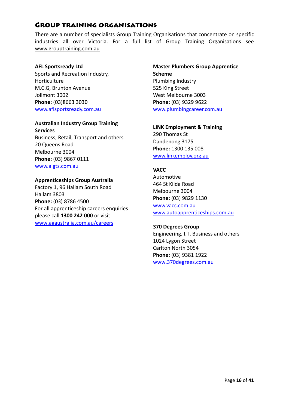## Group training organisations

There are a number of specialists Group Training Organisations that concentrate on specific industries all over Victoria. For a full list of Group Training Organisations see [www.grouptraining.com.au](http://www.grouptraining.com.au/)

#### **AFL Sportsready Ltd**

Sports and Recreation Industry, Horticulture M.C.G, Brunton Avenue Jolimont 3002 **Phone:** (03)8663 3030 [www.aflsportsready.com.au](http://www.aflsportsready.com.au/)

#### **Australian Industry Group Training Services**

Business, Retail, Transport and others 20 Queens Road Melbourne 3004 **Phone:** (03) 9867 0111 [www.aigts.com.au](http://www.aigts.com.au/)

#### **Apprenticeships Group Australia**

Factory 1, 96 Hallam South Road Hallam 3803 **Phone:** (03) 8786 4500 For all apprenticeship careers enquiries please call **1300 242 000** or visit [www.agaustralia.com.au/careers](http://www.agaustralia.com.au/careers)

### **Master Plumbers Group Apprentice Scheme** Plumbing Industry 525 King Street West Melbourne 3003 **Phone:** (03) 9329 9622 [www.plumbingcareer.com.au](http://www.plumbingcareer.com.au/)

#### **LINK Employment & Training**

290 Thomas St Dandenong 3175 **Phone:** 1300 135 008 [www.linkemploy.org.au](http://www.linkemploy.org.au/)

#### **VACC**

Automotive 464 St Kilda Road Melbourne 3004 **Phone:** (03) 9829 1130 [www.vacc.com.au](http://www.vacc.com.au/) [www.autoapprenticeships.com.au](http://www.autoapprenticeships.com.au/)

#### **370 Degrees Group**

Engineering, I.T, Business and others 1024 Lygon Street Carlton North 3054 **Phone:** (03) 9381 1922 [www.370degrees.com.au](http://www.370degrees.com.au/)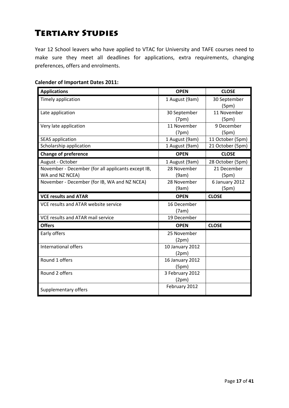# Tertiary Studies

Year 12 School leavers who have applied to VTAC for University and TAFE courses need to make sure they meet all deadlines for applications, extra requirements, changing preferences, offers and enrolments.

#### **Calender of Important Dates 2011:**

| <b>Applications</b>                                | <b>OPEN</b>            | <b>CLOSE</b>          |
|----------------------------------------------------|------------------------|-----------------------|
| Timely application                                 | 1 August (9am)         | 30 September<br>(5pm) |
| Late application                                   | 30 September<br>(7pm)  | 11 November<br>(5pm)  |
| Very late application                              | 11 November<br>(7pm)   | 9 December<br>(5pm)   |
| <b>SEAS application</b>                            | 1 August (9am)         | 11 October (5pm)      |
| Scholarship application                            | 1 August (9am)         | 21 October (5pm)      |
| <b>Change of preference</b>                        | <b>OPEN</b>            | <b>CLOSE</b>          |
| August - October                                   | 1 August (9am)         | 28 October (5pm)      |
| November - December (for all applicants except IB, | 28 November            | 21 December           |
| WA and NZ NCEA)                                    | (9am)                  | (5pm)                 |
| November - December (for IB, WA and NZ NCEA)       | 28 November            | 6 January 2012        |
|                                                    | (9am)                  | (5pm)                 |
|                                                    |                        |                       |
| <b>VCE results and ATAR</b>                        | <b>OPEN</b>            | <b>CLOSE</b>          |
| VCE results and ATAR website service               | 16 December            |                       |
|                                                    | (7am)                  |                       |
| VCE results and ATAR mail service                  | 19 December            |                       |
| <b>Offers</b>                                      | <b>OPEN</b>            | <b>CLOSE</b>          |
| Early offers                                       | 25 November            |                       |
|                                                    | (2pm)                  |                       |
| International offers                               | 10 January 2012        |                       |
|                                                    | (2pm)                  |                       |
| Round 1 offers                                     | 16 January 2012        |                       |
|                                                    | (5pm)                  |                       |
| Round 2 offers                                     | 3 February 2012        |                       |
|                                                    | (2pm)<br>February 2012 |                       |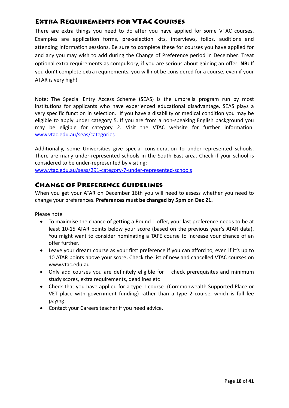## Extra Requirements for VTAC Courses

There are extra things you need to do after you have applied for some VTAC courses. Examples are application forms, pre‐selection kits, interviews, folios, auditions and attending information sessions. Be sure to complete these for courses you have applied for and any you may wish to add during the Change of Preference period in December. Treat optional extra requirements as compulsory, if you are serious about gaining an offer. **NB:** If you don't complete extra requirements, you will not be considered for a course, even if your ATAR is very high!

Note: The Special Entry Access Scheme (SEAS) is the umbrella program run by most institutions for applicants who have experienced educational disadvantage. SEAS plays a very specific function in selection. If you have a disability or medical condition you may be eligible to apply under category 5. If you are from a non‐speaking English background you may be eligible for category 2. Visit the VTAC website for further information: [www.vtac.edu.au/seas/categories](http://www.vtac.edu.au/seas/categories)

Additionally, some Universities give special consideration to under‐represented schools. There are many under‐represented schools in the South East area. Check if your school is considered to be under‐represented by visiting:

[www.vtac.edu.au/seas/291](http://www.vtac.edu.au/seas/291-category-7-under-represented-schools)‐category‐7‐under‐represented‐schools

## Change of Preference Guidelines

When you get your ATAR on December 16th you will need to assess whether you need to change your preferences. **Preferences must be changed by 5pm on Dec 21.**

Please note

- To maximise the chance of getting a Round 1 offer, your last preference needs to be at least 10‐15 ATAR points below your score (based on the previous year's ATAR data). You might want to consider nominating a TAFE course to increase your chance of an offer further.
- Leave your dream course as your first preference if you can afford to, even if it's up to 10 ATAR points above your score**.** Check the list of new and cancelled VTAC courses on www.vtac.edu.au
- Only add courses you are definitely eligible for check prerequisites and minimum study scores, extra requirements, deadlines etc
- Check that you have applied for a type 1 course (Commonwealth Supported Place or VET place with government funding) rather than a type 2 course, which is full fee paying
- Contact your Careers teacher if you need advice.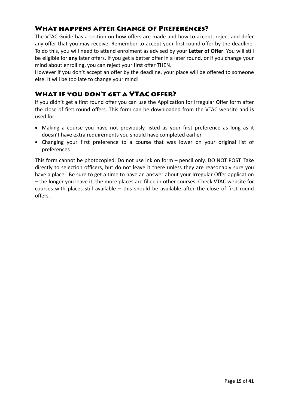## What happens after Change of Preferences?

The VTAC Guide has a section on how offers are made and how to accept, reject and defer any offer that you may receive. Remember to accept your first round offer by the deadline. To do this, you will need to attend enrolment as advised by your **Letter of Offer**. You will still be eligible for **any** later offers. If you get a better offer in a later round, or if you change your mind about enrolling, you can reject your first offer THEN.

However if you don't accept an offer by the deadline, your place will be offered to someone else. It will be too late to change your mind!

## WHAT IF YOU DON'T GET A **VTAC** OFFER?

If you didn't get a first round offer you can use the Application for Irregular Offer form after the close of first round offers. This form can be downloaded from the VTAC website and **is** used for:

- Making a course you have not previously listed as your first preference as long as it doesn't have extra requirements you should have completed earlier
- Changing your first preference to a course that was lower on your original list of preferences

This form cannot be photocopied. Do not use ink on form – pencil only. DO NOT POST. Take directly to selection officers, but do not leave it there unless they are reasonably sure you have a place. Be sure to get a time to have an answer about your Irregular Offer application – the longer you leave it, the more places are filled in other courses. Check VTAC website for courses with places still available – this should be available after the close of first round offers.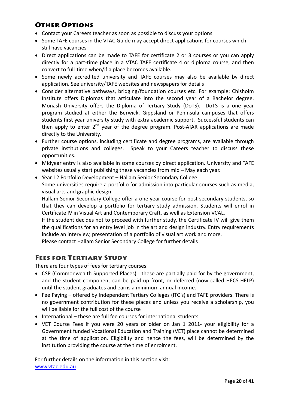## Other Options

- Contact your Careers teacher as soon as possible to discuss your options
- Some TAFE courses in the VTAC Guide may accept direct applications for courses which still have vacancies
- Direct applications can be made to TAFE for certificate 2 or 3 courses or you can apply directly for a part‐time place in a VTAC TAFE certificate 4 or diploma course, and then convert to full-time when/if a place becomes available.
- Some newly accredited university and TAFE courses may also be available by direct application. See university/TAFE websites and newspapers for details
- Consider alternative pathways, bridging/foundation courses etc. For example: Chisholm Institute offers Diplomas that articulate into the second year of a Bachelor degree. Monash University offers the Diploma of Tertiary Study (DoTS). DoTS is a one year program studied at either the Berwick, Gippsland or Peninsula campuses that offers students first year university study with extra academic support. Successful students can then apply to enter  $2^{nd}$  year of the degree program. Post-ATAR applications are made directly to the University.
- Further course options, including certificate and degree programs, are available through private institutions and colleges. Speak to your Careers teacher to discuss these opportunities.
- Midyear entry is also available in some courses by direct application. University and TAFE websites usually start publishing these vacancies from mid – May each year.
- Year 12 Portfolio Development Hallam Senior Secondary College Some universities require a portfolio for admission into particular courses such as media, visual arts and graphic design.

Hallam Senior Secondary College offer a one year course for post secondary students, so that they can develop a portfolio for tertiary study admission. Students will enrol in Certificate IV in Visual Art and Contemporary Craft, as well as Extension VCAL.

If the student decides not to proceed with further study, the Certificate IV will give them the qualifications for an entry level job in the art and design industry. Entry requirements include an interview, presentation of a portfolio of visual art work and more.

Please contact Hallam Senior Secondary College for further details

## Fees for Tertiary Study

There are four types of fees for tertiary courses:

- CSP (Commonwealth Supported Places) ‐ these are partially paid for by the government, and the student component can be paid up front, or deferred (now called HECS-HELP) until the student graduates and earns a minimum annual income.
- Fee Paying offered by Independent Tertiary Colleges (ITC's) and TAFE providers. There is no government contribution for these places and unless you receive a scholarship, you will be liable for the full cost of the course
- International these are full fee courses for international students
- VET Course Fees if you were 20 years or older on Jan 1 2011‐ your eligibility for a Government funded Vocational Education and Training (VET) place cannot be determined at the time of application. Eligibility and hence the fees, will be determined by the institution providing the course at the time of enrolment.

For further details on the information in this section visit: [www.vtac.edu.au](http://www.vtac.edu.au/)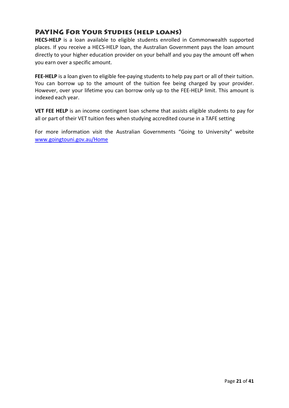## PAYING For Your Studies (help loans)

**HECS-HELP** is a loan available to eligible students enrolled in Commonwealth supported places. If you receive a HECS‐HELP loan, the Australian Government pays the loan amount directly to your higher education provider on your behalf and you pay the amount off when you earn over a specific amount.

**FEE‐HELP** is a loan given to eligible fee‐paying students to help pay part or all of their tuition. You can borrow up to the amount of the tuition fee being charged by your provider. However, over your lifetime you can borrow only up to the FEE-HELP limit. This amount is indexed each year.

**VET FEE HELP** is an income contingent loan scheme that assists eligible students to pay for all or part of their VET tuition fees when studying accredited course in a TAFE setting

For more information visit the Australian Governments "Going to University" website [www.goingtouni.gov.au/Home](http://www.goingtouni.gov.au/Home)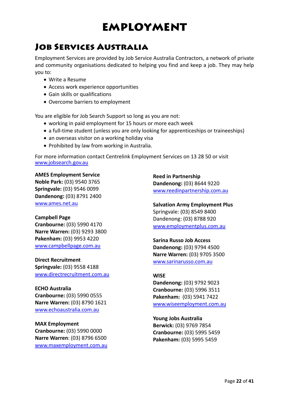# EMPLOYMENT

# Job Services Australia

Employment Services are provided by Job Service Australia Contractors, a network of private and community organisations dedicated to helping you find and keep a job. They may help you to:

- Write a Resume
- Access work experience opportunities
- Gain skills or qualifications
- Overcome barriers to employment

You are eligible for Job Search Support so long as you are not:

- working in paid employment for 15 hours or more each week
- a full-time student (unless you are only looking for apprenticeships or traineeships)
- an overseas visitor on a working holiday visa
- Prohibited by law from working in Australia.

For more information contact Centrelink Employment Services on 13 28 50 or visit [www.jobsearch.gov.au](http://www.jobsearch.gov.au/)

#### **AMES Employment Service**

**Noble Park:** (03) 9540 3765 **Springvale:** (03) 9546 0099 **Dandenong:** (03) 8791 2400 [www.ames.net.au](http://www.ames.net.au/)

#### **Campbell Page**

**Cranbourne:** (03) 5990 4170 **Narre Warren:** (03) 9293 3800 **Pakenham:** (03) 9953 4220 [www.campbellpage.com.au](http://www.campbellpage.com.au/)

**Direct Recruitment Springvale:** (03) 9558 4188 www.directrecruitment.com.au

**ECHO Australia Cranbourne:** (03) 5990 0555 **Narre Warren:** (03) 8790 1621 [www.echoaustralia.com.au](http://www.echoaustralia.com.au/)

**MAX Employment Cranbourne:** (03) 5990 0000 **Narre Warren**: (03) 8796 6500 [www.maxemployment.com.au](http://www.maxemployment.com.au/) **Reed in Partnership Dandenong:** (03) 8644 9220 [www.reedinpartnership.com.au](http://www.reedinpartnership.com.au/)

**Salvation Army Employment Plus** Springvale: (03) 8549 8400 Dandenong: (03) 8788 920 [www.employmentplus.com.au](http://www.employmentplus.com.au/)

### **Sarina Russo Job Access Dandenong:** (03) 9794 4500 **Narre Warren:** (03) 9705 3500 [www.sarinarusso.com.au](http://www.sarinarusso.com.au/)

### **WISE**

**Dandenong:** (03) 9792 9023 **Cranbourne:** (03) 5996 3511 **Pakenham:** (03) 5941 7422 [www.wiseemployment.com.au](http://www.wiseemployment.com.au/)

## **Young Jobs Australia**

**Berwick:** (03) 9769 7854 **Cranbourne:** (03) 5995 5459 **Pakenham:** (03) 5995 5459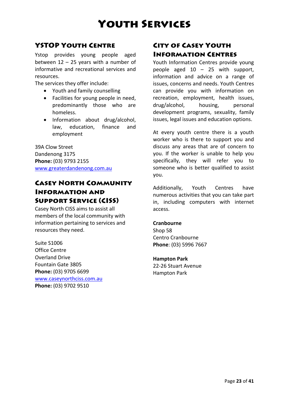# Youth Services

## YSTOP Youth Centre

Ystop provides young people aged between 12 – 25 years with a number of informative and recreational services and resources.

The services they offer include:

- Youth and family counselling
- Facilities for young people in need, predominantly those who are homeless.
- Information about drug/alcohol, law, education, finance and employment

39A Clow Street Dandenong 3175 **Phone:** (03) 9793 2155 [www.greaterdandenong.com.au](http://www.greaterdandenong.com.au/)

## Casey North Community Information and Support Service (CISS)

Casey North CISS aims to assist all members of the local community with information pertaining to services and resources they need.

Suite S1006 Office Centre Overland Drive Fountain Gate 3805 **Phone:** (03) 9705 6699 [www.caseynorthciss.com.au](http://www.caseynorthciss.com.au/) **Phone:** (03) 9702 9510

## City of Casey Youth Information Centres

Youth Information Centres provide young people aged 10 – 25 with support, information and advice on a range of issues, concerns and needs. Youth Centres can provide you with information on recreation, employment, health issues, drug/alcohol, housing, personal development programs, sexuality, family issues, legal issues and education options.

At every youth centre there is a youth worker who is there to support you and discuss any areas that are of concern to you. If the worker is unable to help you specifically, they will refer you to someone who is better qualified to assist you.

Additionally, Youth Centres have numerous activities that you can take part in, including computers with internet access.

### **Cranbourne**

Shop 58 Centro Cranbourne **Phone**: (03) 5996 7667

#### **Hampton Park**

22‐26 Stuart Avenue Hampton Park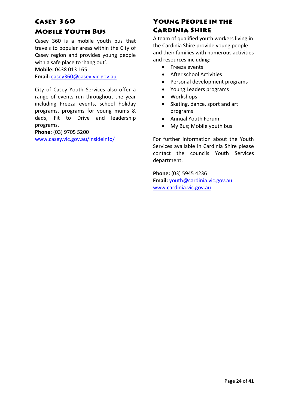## Casey 360

### Mobile Youth Bus

Casey 360 is a mobile youth bus that travels to popular areas within the City of Casey region and provides young people with a safe place to 'hang out'.

**Mobile:** 0438 013 165

**Email:** [casey360@casey.vic.gov.au](mailto:casey360@casey.vic.gov.au)

City of Casey Youth Services also offer a range of events run throughout the year including Freeza events, school holiday programs, programs for young mums & dads, Fit to Drive and leadership programs.

**Phone:** (03) 9705 5200

[www.casey.vic.gov.au/insideinfo/](http://www.casey.vic.gov.au/insideinfo/)

## Young People in the Cardinia Shire

A team of qualified youth workers living in the Cardinia Shire provide young people and their families with numerous activities and resources including:

- Freeza events
- After school Activities
- Personal development programs
- Young Leaders programs
- Workshops
- Skating, dance, sport and art programs
- Annual Youth Forum
- My Bus; Mobile youth bus

For further information about the Youth Services available in Cardinia Shire please contact the councils Youth Services department.

**Phone:** (03) 5945 4236 **Email:** [youth@cardinia.vic.gov.au](mailto:youth@cardinia.vic.gov.au) [www.cardinia.vic.gov.au](http://www.cardinia.vic.gov.au/)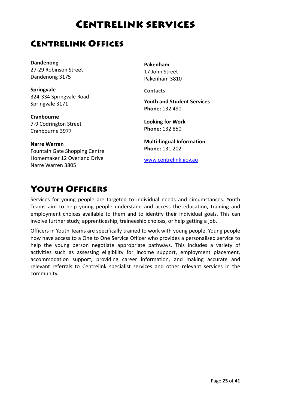# Centrelink services

## Centrelink Offices

**Dandenong** 27‐29 Robinson Street Dandenong 3175

**Springvale** 324‐334 Springvale Road Springvale 3171

**Cranbourne** 7‐9 Codrington Street Cranbourne 3977

**Narre Warren** Fountain Gate Shopping Centre Homemaker 12 Overland Drive Narre Warren 3805

**Pakenham** 17 John Street Pakenham 3810

**Contacts**

**Youth and Student Services Phone:** 132 490

**Looking for Work Phone:** 132 850

**Multi‐lingual Information Phone:** 131 202

[www.centrelink.gov.au](http://www.centrelink.gov.au/)

# Youth Officers

Services for young people are targeted to individual needs and circumstances. Youth Teams aim to help young people understand and access the education, training and employment choices available to them and to identify their individual goals. This can involve further study, apprenticeship, traineeship choices, or help getting a job.

Officers in Youth Teams are specifically trained to work with young people. Young people now have access to a One to One Service Officer who provides a personalised service to help the young person negotiate appropriate pathways. This includes a variety of activities such as assessing eligibility for income support, employment placement, accommodation support, providing career information, and making accurate and relevant referrals to Centrelink specialist services and other relevant services in the community.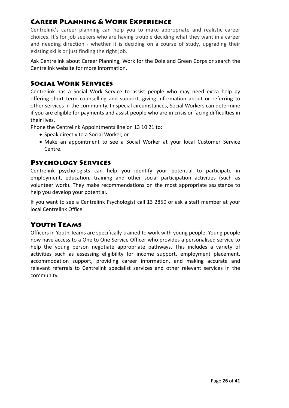## Career Planning & Work Experience

Centrelink's career planning can help you to make appropriate and realistic career choices. It's for job seekers who are having trouble deciding what they want in a career and needing direction - whether it is deciding on a course of study, upgrading their existing skills or just finding the right job.

Ask Centrelink about Career Planning, Work for the Dole and Green Corps or search the Centrelink website for more information.

## Social Work Services

Centrelink has a Social Work Service to assist people who may need extra help by offering short term counselling and support, giving information about or referring to other services in the community. In special circumstances, Social Workers can determine if you are eligible for payments and assist people who are in crisis or facing difficulties in their lives.

Phone the Centrelink Appointments line on 13 10 21 to:

- Speak directly to a Social Worker, or
- Make an appointment to see a Social Worker at your local Customer Service Centre.

### Psychology Services

Centrelink psychologists can help you identify your potential to participate in employment, education, training and other social participation activities (such as volunteer work). They make recommendations on the most appropriate assistance to help you develop your potential.

If you want to see a Centrelink Psychologist call 13 2850 or ask a staff member at your local Centrelink Office.

## Youth Teams

Officers in Youth Teams are specifically trained to work with young people. Young people now have access to a One to One Service Officer who provides a personalised service to help the young person negotiate appropriate pathways. This includes a variety of activities such as assessing eligibility for income support, employment placement, accommodation support, providing career information, and making accurate and relevant referrals to Centrelink specialist services and other relevant services in the community.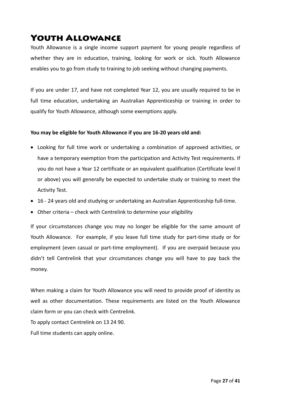# Youth Allowance

Youth Allowance is a single income support payment for young people regardless of whether they are in education, training, looking for work or sick. Youth Allowance enables you to go from study to training to job seeking without changing payments.

If you are under 17, and have not completed Year 12, you are usually required to be in full time education, undertaking an Australian Apprenticeship or training in order to qualify for Youth Allowance, although some exemptions apply.

#### **You may be eligible for Youth Allowance if you are 16‐20 years old and:**

- Looking for full time work or undertaking a combination of approved activities, or have a temporary exemption from the participation and Activity Test requirements. If you do not have a Year 12 certificate or an equivalent qualification (Certificate level II or above) you will generally be expected to undertake study or training to meet the Activity Test.
- 16 24 years old and studying or undertaking an Australian Apprenticeship full-time.
- Other criteria check with Centrelink to determine your eligibility

If your circumstances change you may no longer be eligible for the same amount of Youth Allowance. For example, if you leave full time study for part-time study or for employment (even casual or part-time employment). If you are overpaid because you didn't tell Centrelink that your circumstances change you will have to pay back the money.

When making a claim for Youth Allowance you will need to provide proof of identity as well as other documentation. These requirements are listed on the Youth Allowance claim form or you can check with Centrelink. To apply contact Centrelink on 13 24 90.

Full time students can apply online.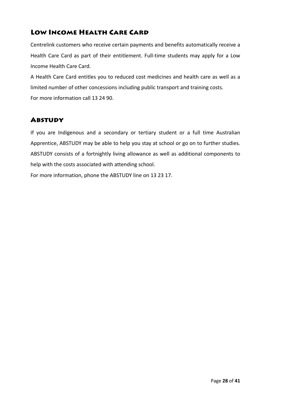## Low Income Health Care Card

Centrelink customers who receive certain payments and benefits automatically receive a Health Care Card as part of their entitlement. Full-time students may apply for a Low Income Health Care Card.

A Health Care Card entitles you to reduced cost medicines and health care as well as a limited number of other concessions including public transport and training costs. For more information call 13 24 90.

## **ABSTUDY**

If you are Indigenous and a secondary or tertiary student or a full time Australian Apprentice, ABSTUDY may be able to help you stay at school or go on to further studies. ABSTUDY consists of a fortnightly living allowance as well as additional components to help with the costs associated with attending school.

For more information, phone the ABSTUDY line on 13 23 17.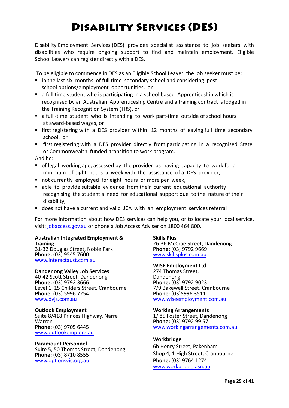# Disability Services (DES)

Disability Employment Services (DES) provides specialist assistance to job seekers with disabilities who require ongoing support to find and maintain employment. Eligible School Leavers can register directly with a DES.

To be eligible to commence in DES as an Eligible School Leaver, the job seeker must be:

- in the last six months of full time secondary school and considering post– school options/employment opportunities, or
- a full time student who is participating in a school based Apprenticeship which is recognised by an Australian Apprenticeship Centre and a training contract is lodged in the Training Recognition System (TRS), or
- a full -time student who is intending to work part-time outside of school hours at award‐based wages, or
- first registering with a DES provider within 12 months of leaving full time secondary school, or
- first registering with a DES provider directly from participating in a recognised State or Commonwealth funded transition to work program.

And be:

- of legal working age, assessed by the provider as having capacity to work for a minimum of eight hours a week with the assistance of a DES provider,
- not currently employed for eight hours or more per week,
- able to provide suitable evidence from their current educational authority recognising the student's need for educational support due to the nature of their disability,
- does not have a current and valid JCA with an employment services referral

For more information about how DES services can help you, or to locate your local service, visit: [jobaccess.gov.au](http://www.jobaccess.gov.au/) or phone a Job Access Adviser on 1800 464 800.

### **Australian Integrated Employment & Training**

31‐32 Douglas Street, Noble Park **Phone:** (03) 9545 7600 [www.interactaust.com.au](http://www.interactaust.com.au/)

**Dandenong Valley Job Services** <sup>40</sup>‐<sup>42</sup> Scott Street, Dandenong **Phone:** (03) 9792 3666 Level 1, 15 Childers Street, Cranbourne **Phone:** (03) 5996 7254 [www.dvjs.com.au](http://www.dvjs.com.au/)

## **Outlook Employment**

Suite 8/418 Princes Highway, Narre **Phone:** (03) 9705 6445 [www.outlookemp.org.au](http://www.outlookemp.org.au/)

#### **Paramount Personnel**

Suite 5, 50 Thomas Street, Dandenong **Phone:** (03) 8710 8555 [www.optionsvic.org.au](http://www.optionsvic.org.au/)

#### **Skills Plus**

<sup>26</sup>‐<sup>36</sup> McCrae Street, Dandenong **Phone:** (03) <sup>9792</sup> <sup>9669</sup> [www.skillsplus.com.au](http://www.skillsplus.com.au/)

#### **WISE Employment Ltd**

274 Thomas Street,<br>Dandenong **Phone:** (03) 9792 9023 7/9 Bakewell Street, Cranbourne **Phone:** (03)5996 3511 [www.wiseemployment.com.au](http://www.wiseemployment.com.au/)

#### **Working Arrangements**

1/ <sup>85</sup> Foster Street, Dandenong **Phone:** (03) <sup>9792</sup> <sup>99</sup> <sup>57</sup> [www.workingarrangements.com.au](http://www.workingarrangements.com.au/)

#### **Workbridge**

6b Henry Street, Pakenham Shop 4, 1 High Street, Cranbourne **Phone:** (03) 9764 1274 [www.workbridge.asn.au](http://www.workbridge.asn.au/)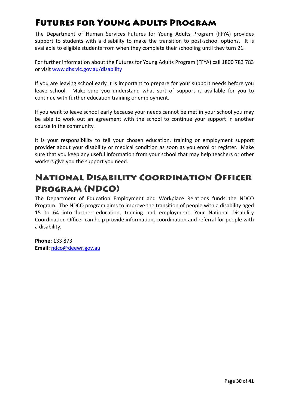# Futures for Young Adults Program

The Department of Human Services Futures for Young Adults Program (FFYA) provides support to students with a disability to make the transition to post-school options. It is available to eligible students from when they complete their schooling until they turn 21.

For further information about the Futures for Young Adults Program (FFYA) call 1800 783 783 or visit [www.dhs.vic.gov.au/disability](http://www.dhs.vic.gov.au/disability)

If you are leaving school early it is important to prepare for your support needs before you leave school. Make sure you understand what sort of support is available for you to continue with further education training or employment.

If you want to leave school early because your needs cannot be met in your school you may be able to work out an agreement with the school to continue your support in another course in the community.

It is your responsibility to tell your chosen education, training or employment support provider about your disability or medical condition as soon as you enrol or register. Make sure that you keep any useful information from your school that may help teachers or other workers give you the support you need.

# National Disability Coordination Officer Program (NDCO)

The Department of Education Employment and Workplace Relations funds the NDCO Program. The NDCO program aims to improve the transition of people with a disability aged 15 to 64 into further education, training and employment. Your National Disability Coordination Officer can help provide information, coordination and referral for people with a disability.

**Phone:** 133 873 **Email:** [ndco@deewr.gov.au](mailto:ndco@deewr.gov.au)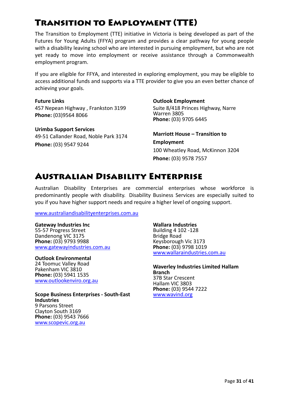# Transition to Employment (TTE)

The Transition to Employment (TTE) initiative in Victoria is being developed as part of the Futures for Young Adults (FFYA) program and provides a clear pathway for young people with a disability leaving school who are interested in pursuing employment, but who are not yet ready to move into employment or receive assistance through a Commonwealth employment program.

If you are eligible for FFYA, and interested in exploring employment, you may be eligible to access additional funds and supports via a TTE provider to give you an even better chance of achieving your goals.

**Future Links** 457 Nepean Highway , Frankston 3199 **Phone:** (03)9564 8066

**Urimba Support Services** 49‐51 Callander Road, Noble Park 3174 **Phone:** (03) 9547 9244

#### **Outlook Employment**

Suite 8/418 Princes Highway, Narre Warren 3805 **Phone:** (03) 9705 6445

**Marriott House – Transition to Employment** 100 Wheatley Road, McKinnon 3204 **Phone:** (03) 9578 7557

## Australian Disability Enterprise

Australian Disability Enterprises are commercial enterprises whose workforce is predominantly people with disability. Disability Business Services are especially suited to you if you have higher support needs and require a higher level of ongoing support.

www.australiandisabilityenterprises.com.au

#### **Gateway Industries Inc**

55‐57 Progress Street Dandenong VIC 3175 **Phone:** (03) 9793 9988 [www.gatewayindustries.com.au](http://www.gatewayindustries.com.au/)

#### **Outlook Environmental**

24 Toomuc Valley Road Pakenham VIC 3810 **Phone:** (03) 5941 1535 [www.outlookenviro.org.au](http://www.outlookenviro.org.au/)

**Scope Business Enterprises ‐ South‐East Industries** Clayton South 3169 **Phone:** (03) 9543 7666 [www.scopevic.org.au](http://www.scopevic.org.au/)

#### **Wallara Industries**

Building 4 102 -128<br>Bridge Road Keysborough Vic 3173 **Phone:** (03) 9798 1019 [www.wallaraindustries.com.au](http://www.wallaraindustries.com.au/)

**Waverley Industries Limited Hallam Branch** 37B Star Crescent Hallam VIC 3803 **Phone:** (03) 9544 7222 [www.wavind.org](http://www.wavind.org/)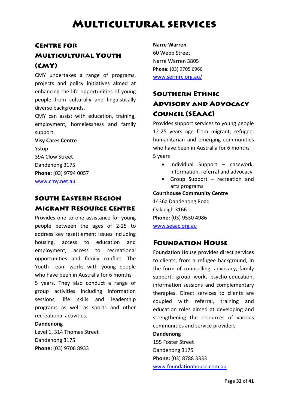# Multicultural services

## Centre for Multicultural Youth (CMY)

CMY undertakes a range of programs, projects and policy initiatives aimed at enhancing the life opportunities of young people from culturally and linguistically diverse backgrounds.

CMY can assist with education, training, employment, homelessness and family support.

#### **Visy Cares Centre**

Ystop 39A Clow Street Dandenong 3175 **Phone:** (03) 9794 0057 [www.cmy.net.au](http://www.cmy.net.au/)

## South Eastern Region Migrant Resource Centre

Provides one to one assistance for young people between the ages of 2‐25 to address key resettlement issues including housing, access to education and employment, access to recreational opportunities and family conflict. The Youth Team works with young people who have been in Australia for 6 months – 5 years. They also conduct a range of group activities including information sessions, life skills and leadership programs as well as sports and other recreational activities.

#### **Dandenong**

Level 1, 314 Thomas Street Dandenong 3175 **Phone:** (03) 9706 8933

**Narre Warren**  60 Webb Street Narre Warren 3805 **Phone:** (03) 9705 6966 [www.sermrc.org.au/](http://www.sermrc.org.au/)

## Southern Ethnic Advisory and Advocacy Council (SEAAC)

Provides support services to young people 12‐25 years age from migrant, refugee, humanitarian and emerging communities who have been in Australia for 6 months – 5 years

- Individual Support casework, information, referral and advocacy
- Group Support recreation and arts programs

**Courthouse Community Centre**

1436a Dandenong Road Oakleigh 3166 **Phone:** (03) 9530 4986 [www.seaac.org.au](http://www.seaac.org.au/)

### Foundation House

Foundation House provides direct services to clients, from a refugee background, in the form of counselling, advocacy, family support, group work, psycho-education, information sessions and complementary therapies. Direct services to clients are coupled with referral, training and education roles aimed at developing and strengthening the resources of various communities and service providers **Dandenong**

155 Foster Street Dandenong 3175 **Phone:** (03) 8788 3333 [www.foundationhouse.com.au](http://www.foundationhouse.com.au/)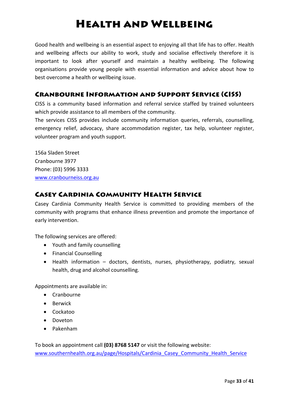# Health and Wellbeing

Good health and wellbeing is an essential aspect to enjoying all that life has to offer. Health and wellbeing affects our ability to work, study and socialise effectively therefore it is important to look after yourself and maintain a healthy wellbeing. The following organisations provide young people with essential information and advice about how to best overcome a health or wellbeing issue.

## Cranbourne Information and Support Service (CISS)

CISS is a community based information and referral service staffed by trained volunteers which provide assistance to all members of the community.

The services CISS provides include community information queries, referrals, counselling, emergency relief, advocacy, share accommodation register, tax help, volunteer register, volunteer program and youth support.

156a Sladen Street Cranbourne 3977 Phone: (03) 5996 3333 [www.cranbourneiss.org.au](http://www.cranbourneiss.org.au/)

## Casey Cardinia Community Health Service

Casey Cardinia Community Health Service is committed to providing members of the community with programs that enhance illness prevention and promote the importance of early intervention.

The following services are offered:

- Youth and family counselling
- Financial Counselling
- Health information doctors, dentists, nurses, physiotherapy, podiatry, sexual health, drug and alcohol counselling.

Appointments are available in:

- Cranbourne
- Berwick
- Cockatoo
- Doveton
- Pakenham

To book an appointment call **(03) 8768 5147** or visit the following website: www.southernhealth.org.au/page/Hospitals/Cardinia Casey Community Health Service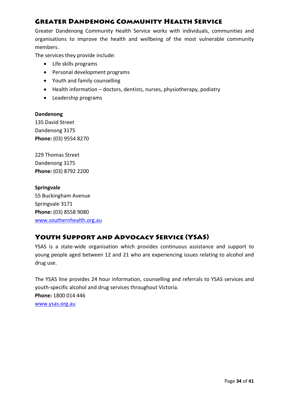## Greater Dandenong Community Health Service

Greater Dandenong Community Health Service works with individuals, communities and organisations to improve the health and wellbeing of the most vulnerable community members.

The services they provide include:

- Life skills programs
- Personal development programs
- Youth and family counselling
- Health information doctors, dentists, nurses, physiotherapy, podiatry
- Leadership programs

#### **Dandenong**

135 David Street Dandenong 3175 **Phone:** (03) 9554 8270

229 Thomas Street Dandenong 3175 **Phone:** (03) 8792 2200

**Springvale** 55 Buckingham Avenue Springvale 3171 **Phone:** (03) 8558 9080 [www.southernhealth.org.au](http://www.southernhealth.org.au/)

## Youth Support and Advocacy Service (YSAS)

YSAS is a state‐wide organisation which provides continuous assistance and support to young people aged between 12 and 21 who are experiencing issues relating to alcohol and drug use.

The YSAS line provides 24 hour information, counselling and referrals to YSAS services and youth‐specific alcohol and drug services throughout Victoria.

**Phone:** 1800 014 446

[www.ysas.org.au](http://www.ysas.org.au/)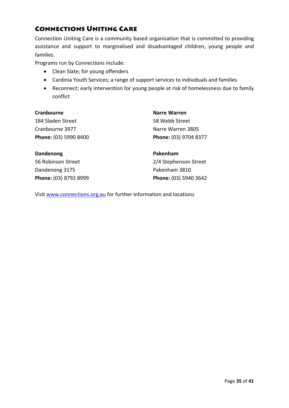## Connections Uniting Care

Connection Uniting Care is a community based organisation that is committed to providing assistance and support to marginalised and disadvantaged children, young people and families.

Programs run by Connections include:

- Clean Slate; for young offenders
- Cardinia Youth Services; a range of support services to individuals and families
- Reconnect; early intervention for young people at risk of homelessness due to family conflict

| Cranbourne            | <b>Narre Warren</b>   |
|-----------------------|-----------------------|
| 184 Sladen Street     | 58 Webb Street        |
| Cranbourne 3977       | Narre Warren 3805     |
| Phone: (03) 5990 8400 | Phone: (03) 9704 8377 |
|                       |                       |

**Dandenong** 56 Robinson Street Dandenong 3175 **Phone:** (03) 8792 8999 **Pakenham**  2/4 Stephenson Street Pakenham 3810 **Phone:** (03) 5940 3642

Visit [www.connections.org.au](http://www.connections.org.au/) for further information and locations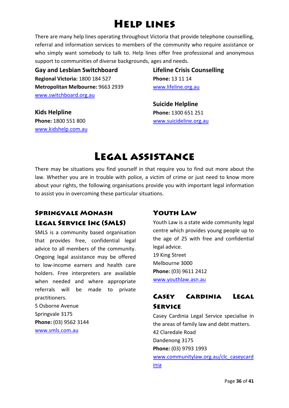# Help lines

There are many help lines operating throughout Victoria that provide telephone counselling, referral and information services to members of the community who require assistance or who simply want somebody to talk to. Help lines offer free professional and anonymous support to communities of diverse backgrounds, ages and needs.

**Gay and Lesbian Switchboard Regional Victoria:** 1800 184 527 **Metropolitan Melbourne:** 9663 2939 [www.switchboard.org.au](http://www.switchboard.org.au/)

**Lifeline Crisis Counselling Phone:** 13 11 14 [www.lifeline.org.au](http://www.lifeline.org.au/)

**Kids Helpline Phone:** 1800 551 800 [www.kidshelp.com.au](http://www.kidshelp.com.au/) **Suicide Helpline Phone:** 1300 651 251 [www.suicideline.org.au](http://www.suicideline.org.au/)

# Legal assistance

There may be situations you find yourself in that require you to find out more about the law. Whether you are in trouble with police, a victim of crime or just need to know more about your rights, the following organisations provide you with important legal information to assist you in overcoming these particular situations.

## Springvale Monash Legal Service Inc (SMLS)

SMLS is a community based organisation that provides free, confidential legal advice to all members of the community. Ongoing legal assistance may be offered to low‐income earners and health care holders. Free interpreters are available when needed and where appropriate referrals will be made to private practitioners. 5 Osborne Avenue

Springvale 3175 **Phone:** (03) 9562 3144 [www.smls.com.au](http://www.smls.com.au/)

## Youth Law

Youth Law is a state wide community legal centre which provides young people up to the age of 25 with free and confidential legal advice. 19 King Street Melbourne 3000 **Phone:** (03) 9611 2412 [www.youthlaw.asn.au](http://www.youthlaw.asn.au/)

## Casey Cardinia Legal Service

Casey Cardinia Legal Service specialise in the areas of family law and debt matters. 42 Claredale Road Dandenong 3175 **Phone:** (03) 9793 1993 [www.communitylaw.org.au/clc\\_caseycard](http://www.communitylaw.org.au/clc_caseycardinia) [inia](http://www.communitylaw.org.au/clc_caseycardinia)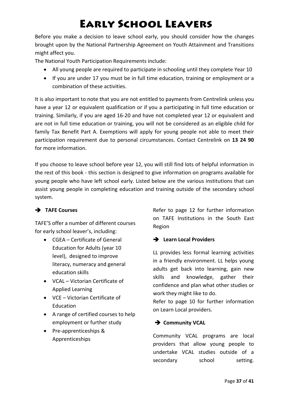# Early School Leavers

Before you make a decision to leave school early, you should consider how the changes brought upon by the National Partnership Agreement on Youth Attainment and Transitions might affect you.

The National Youth Participation Requirements include:

- All young people are required to participate in schooling until they complete Year 10
- If you are under 17 you must be in full time education, training or employment or a combination of these activities.

It is also important to note that you are not entitled to payments from Centrelink unless you have a year 12 or equivalent qualification or if you a participating in full time education or training. Similarly, if you are aged 16‐20 and have not completed year 12 or equivalent and are not in full time education or training, you will not be considered as an eligible child for family Tax Benefit Part A. Exemptions will apply for young people not able to meet their participation requirement due to personal circumstances. Contact Centrelink on **13 24 90** for more information.

If you choose to leave school before year 12, you will still find lots of helpful information in the rest of this book ‐ this section is designed to give information on programs available for young people who have left school early. Listed below are the various institutions that can assist young people in completing education and training outside of the secondary school system.

### Î **TAFE Courses**

TAFE'S offer a number of different courses for early school leaver's, including:

- CGEA Certificate of General Education for Adults (year 10 level), designed to improve literacy, numeracy and general education skills
- VCAL Victorian Certificate of Applied Learning
- VCE Victorian Certificate of Education
- A range of certified courses to help employment or further study
- Pre‐apprenticeships & Apprenticeships

Refer to page 12 for further information on TAFE Institutions in the South East Region

## $\rightarrow$  Learn Local Providers

LL provides less formal learning activities in a friendly environment. LL helps young adults get back into learning, gain new skills and knowledge, gather their confidence and plan what other studies or work they might like to do.

Refer to page 10 for further information on Learn Local providers.

### $\rightarrow$  Community VCAL

Community VCAL programs are local providers that allow young people to undertake VCAL studies outside of a secondary school setting.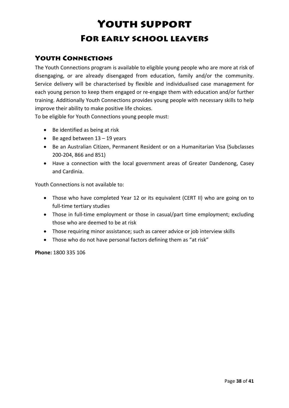# Youth support For early school leavers

## Youth Connections

The Youth Connections program is available to eligible young people who are more at risk of disengaging, or are already disengaged from education, family and/or the community. Service delivery will be characterised by flexible and individualised case management for each young person to keep them engaged or re‐engage them with education and/or further training. Additionally Youth Connections provides young people with necessary skills to help improve their ability to make positive life choices.

To be eligible for Youth Connections young people must:

- Be identified as being at risk
- Be aged between  $13 19$  years
- Be an Australian Citizen, Permanent Resident or on a Humanitarian Visa (Subclasses 200‐204, 866 and 851)
- Have a connection with the local government areas of Greater Dandenong, Casey and Cardinia.

Youth Connections is not available to:

- Those who have completed Year 12 or its equivalent (CERT II) who are going on to full-time tertiary studies
- Those in full-time employment or those in casual/part time employment; excluding those who are deemed to be at risk
- Those requiring minor assistance; such as career advice or job interview skills
- Those who do not have personal factors defining them as "at risk"

**Phone:** 1800 335 106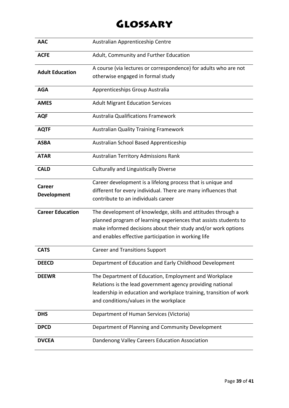# Glossary

| <b>AAC</b>              | Australian Apprenticeship Centre                                   |
|-------------------------|--------------------------------------------------------------------|
| <b>ACFE</b>             | Adult, Community and Further Education                             |
|                         | A course (via lectures or correspondence) for adults who are not   |
| <b>Adult Education</b>  | otherwise engaged in formal study                                  |
| <b>AGA</b>              | Apprenticeships Group Australia                                    |
| <b>AMES</b>             | <b>Adult Migrant Education Services</b>                            |
| <b>AQF</b>              | <b>Australia Qualifications Framework</b>                          |
| <b>AQTF</b>             | <b>Australian Quality Training Framework</b>                       |
| <b>ASBA</b>             | Australian School Based Apprenticeship                             |
| <b>ATAR</b>             | <b>Australian Territory Admissions Rank</b>                        |
| <b>CALD</b>             | <b>Culturally and Linguistically Diverse</b>                       |
| Career                  | Career development is a lifelong process that is unique and        |
| <b>Development</b>      | different for every individual. There are many influences that     |
|                         | contribute to an individuals career                                |
| <b>Career Education</b> | The development of knowledge, skills and attitudes through a       |
|                         | planned program of learning experiences that assists students to   |
|                         | make informed decisions about their study and/or work options      |
|                         | and enables effective participation in working life                |
| <b>CATS</b>             | <b>Career and Transitions Support</b>                              |
| <b>DEECD</b>            | Department of Education and Early Childhood Development            |
| <b>DEEWR</b>            | The Department of Education, Employment and Workplace              |
|                         | Relations is the lead government agency providing national         |
|                         | leadership in education and workplace training, transition of work |
|                         | and conditions/values in the workplace                             |
| <b>DHS</b>              | Department of Human Services (Victoria)                            |
| <b>DPCD</b>             | Department of Planning and Community Development                   |
| <b>DVCEA</b>            | Dandenong Valley Careers Education Association                     |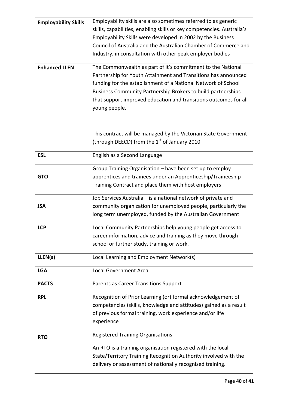| <b>Employability Skills</b> | Employability skills are also sometimes referred to as generic         |
|-----------------------------|------------------------------------------------------------------------|
|                             | skills, capabilities, enabling skills or key competencies. Australia's |
|                             | Employability Skills were developed in 2002 by the Business            |
|                             | Council of Australia and the Australian Chamber of Commerce and        |
|                             | Industry, in consultation with other peak employer bodies              |
|                             |                                                                        |
| <b>Enhanced LLEN</b>        | The Commonwealth as part of it's commitment to the National            |
|                             | Partnership for Youth Attainment and Transitions has announced         |
|                             | funding for the establishment of a National Network of School          |
|                             | Business Community Partnership Brokers to build partnerships           |
|                             | that support improved education and transitions outcomes for all       |
|                             | young people.                                                          |
|                             |                                                                        |
|                             |                                                                        |
|                             | This contract will be managed by the Victorian State Government        |
|                             | (through DEECD) from the 1 <sup>st</sup> of January 2010               |
| <b>ESL</b>                  | English as a Second Language                                           |
|                             |                                                                        |
|                             | Group Training Organisation - have been set up to employ               |
| <b>GTO</b>                  | apprentices and trainees under an Apprenticeship/Traineeship           |
|                             | Training Contract and place them with host employers                   |
|                             | Job Services Australia - is a national network of private and          |
| <b>JSA</b>                  | community organization for unemployed people, particularly the         |
|                             | long term unemployed, funded by the Australian Government              |
|                             |                                                                        |
| <b>LCP</b>                  | Local Community Partnerships help young people get access to           |
|                             | career information, advice and training as they move through           |
|                             | school or further study, training or work.                             |
|                             | Local Learning and Employment Network(s)                               |
| LLEN(s)                     |                                                                        |
| <b>LGA</b>                  | <b>Local Government Area</b>                                           |
| <b>PACTS</b>                | Parents as Career Transitions Support                                  |
|                             |                                                                        |
| <b>RPL</b>                  | Recognition of Prior Learning (or) formal acknowledgement of           |
|                             | competencies (skills, knowledge and attitudes) gained as a result      |
|                             | of previous formal training, work experience and/or life               |
|                             | experience                                                             |
|                             | <b>Registered Training Organisations</b>                               |
| <b>RTO</b>                  |                                                                        |
|                             | An RTO is a training organisation registered with the local            |
|                             | State/Territory Training Recognition Authority involved with the       |
|                             | delivery or assessment of nationally recognised training.              |
|                             |                                                                        |